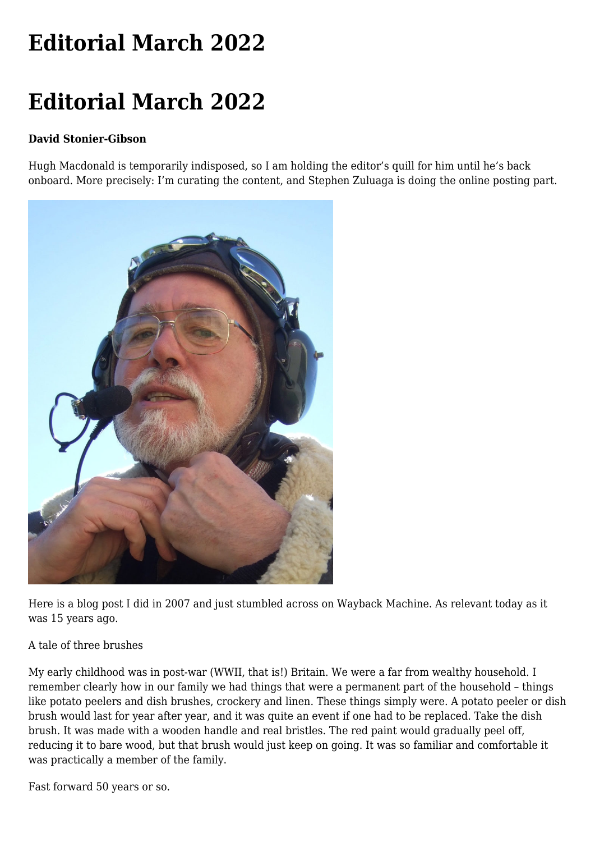## **[Editorial March 2022](https://www.melbpc.org.au/editorial-march-2022/)**

## **Editorial March 2022**

## **David Stonier-Gibson**

Hugh Macdonald is temporarily indisposed, so I am holding the editor's quill for him until he's back onboard. More precisely: I'm curating the content, and Stephen Zuluaga is doing the online posting part.



Here is a blog post I did in 2007 and just stumbled across on Wayback Machine. As relevant today as it was 15 years ago.

## A tale of three brushes

My early childhood was in post-war (WWII, that is!) Britain. We were a far from wealthy household. I remember clearly how in our family we had things that were a permanent part of the household – things like potato peelers and dish brushes, crockery and linen. These things simply were. A potato peeler or dish brush would last for year after year, and it was quite an event if one had to be replaced. Take the dish brush. It was made with a wooden handle and real bristles. The red paint would gradually peel off, reducing it to bare wood, but that brush would just keep on going. It was so familiar and comfortable it was practically a member of the family.

Fast forward 50 years or so.